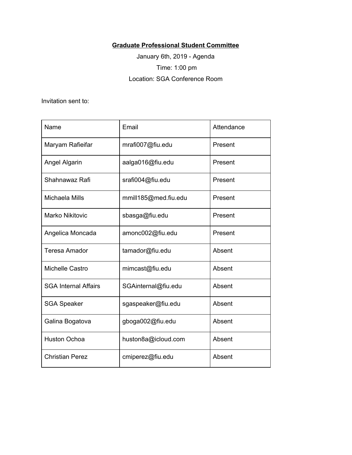## **Graduate Professional Student Committee**

January 6th, 2019 - Agenda Time: 1:00 pm Location: SGA Conference Room

Invitation sent to:

| Name                        | Email                | Attendance |
|-----------------------------|----------------------|------------|
| Maryam Rafieifar            | mrafi007@fiu.edu     | Present    |
| <b>Angel Algarin</b>        | aalga016@fiu.edu     | Present    |
| Shahnawaz Rafi              | srafi004@fiu.edu     | Present    |
| Michaela Mills              | mmill185@med.fiu.edu | Present    |
| <b>Marko Nikitovic</b>      | sbasga@fiu.edu       | Present    |
| Angelica Moncada            | amonc002@fiu.edu     | Present    |
| Teresa Amador               | tamador@fiu.edu      | Absent     |
| Michelle Castro             | mimcast@fiu.edu      | Absent     |
| <b>SGA Internal Affairs</b> | SGAinternal@fiu.edu  | Absent     |
| <b>SGA Speaker</b>          | sgaspeaker@fiu.edu   | Absent     |
| Galina Bogatova             | gboga002@fiu.edu     | Absent     |
| <b>Huston Ochoa</b>         | huston8a@icloud.com  | Absent     |
| <b>Christian Perez</b>      | cmiperez@fiu.edu     | Absent     |